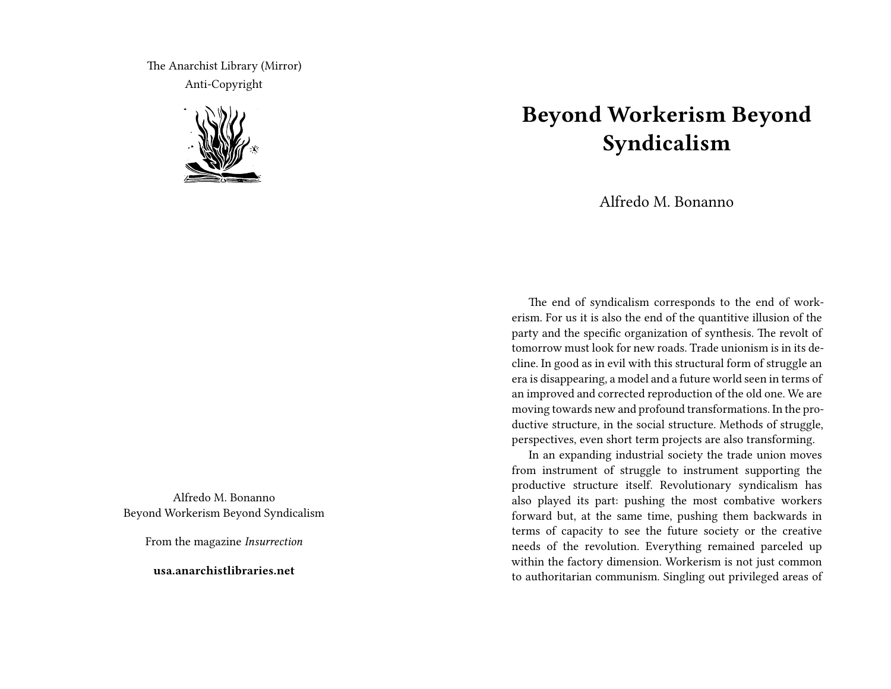The Anarchist Library (Mirror) Anti-Copyright



Alfredo M. Bonanno Beyond Workerism Beyond Syndicalism

From the magazine *Insurrection*

**usa.anarchistlibraries.net**

## **Beyond Workerism Beyond Syndicalism**

Alfredo M. Bonanno

The end of syndicalism corresponds to the end of workerism. For us it is also the end of the quantitive illusion of the party and the specific organization of synthesis. The revolt of tomorrow must look for new roads. Trade unionism is in its decline. In good as in evil with this structural form of struggle an era is disappearing, a model and a future world seen in terms of an improved and corrected reproduction of the old one. We are moving towards new and profound transformations. In the productive structure, in the social structure. Methods of struggle, perspectives, even short term projects are also transforming.

In an expanding industrial society the trade union moves from instrument of struggle to instrument supporting the productive structure itself. Revolutionary syndicalism has also played its part: pushing the most combative workers forward but, at the same time, pushing them backwards in terms of capacity to see the future society or the creative needs of the revolution. Everything remained parceled up within the factory dimension. Workerism is not just common to authoritarian communism. Singling out privileged areas of